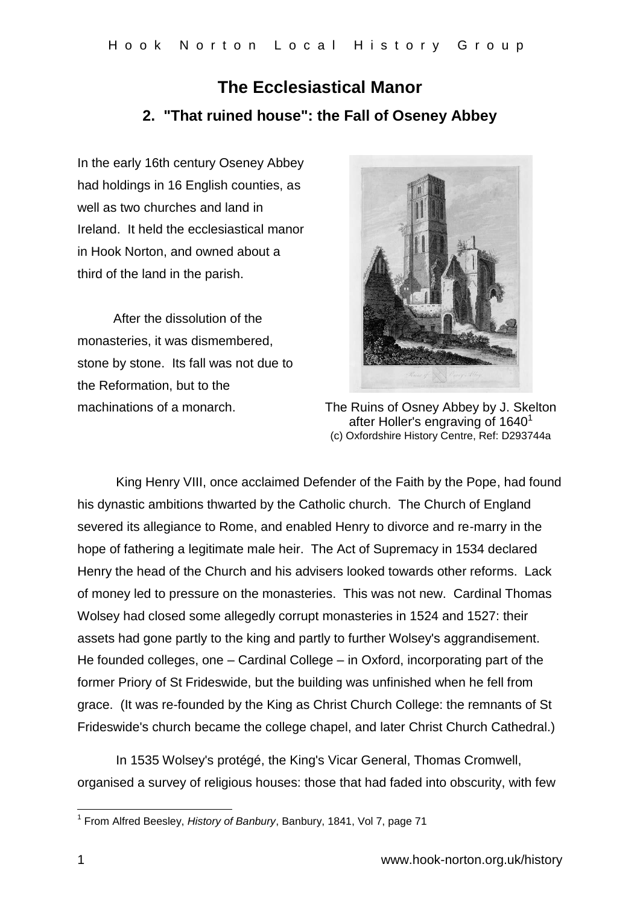## **The Ecclesiastical Manor 2. "That ruined house": the Fall of Oseney Abbey**

In the early 16th century Oseney Abbey had holdings in 16 English counties, as well as two churches and land in Ireland. It held the ecclesiastical manor in Hook Norton, and owned about a third of the land in the parish.

 After the dissolution of the monasteries, it was dismembered, stone by stone. Its fall was not due to the Reformation, but to the



machinations of a monarch. The Ruins of Osney Abbey by J. Skelton after Holler's engraving of 1640<sup>1</sup> (c) Oxfordshire History Centre, Ref: D293744a

King Henry VIII, once acclaimed Defender of the Faith by the Pope, had found his dynastic ambitions thwarted by the Catholic church. The Church of England severed its allegiance to Rome, and enabled Henry to divorce and re-marry in the hope of fathering a legitimate male heir. The Act of Supremacy in 1534 declared Henry the head of the Church and his advisers looked towards other reforms. Lack of money led to pressure on the monasteries. This was not new. Cardinal Thomas Wolsey had closed some allegedly corrupt monasteries in 1524 and 1527: their assets had gone partly to the king and partly to further Wolsey's aggrandisement. He founded colleges, one – Cardinal College – in Oxford, incorporating part of the former Priory of St Frideswide, but the building was unfinished when he fell from grace. (It was re-founded by the King as Christ Church College: the remnants of St Frideswide's church became the college chapel, and later Christ Church Cathedral.)

In 1535 Wolsey's protégé, the King's Vicar General, Thomas Cromwell, organised a survey of religious houses: those that had faded into obscurity, with few

 1 From Alfred Beesley, *History of Banbury*, Banbury, 1841, Vol 7, page 71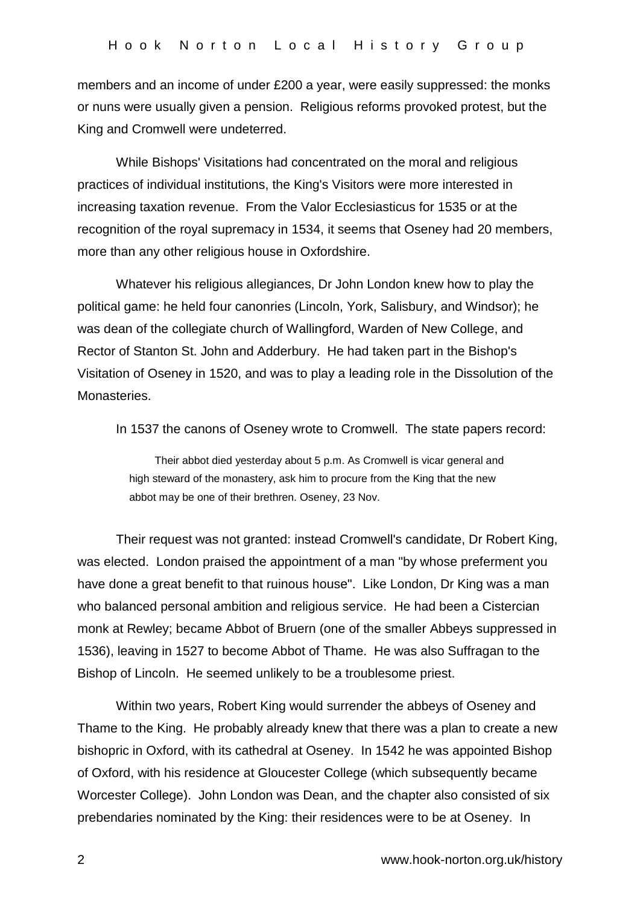members and an income of under £200 a year, were easily suppressed: the monks or nuns were usually given a pension. Religious reforms provoked protest, but the King and Cromwell were undeterred.

While Bishops' Visitations had concentrated on the moral and religious practices of individual institutions, the King's Visitors were more interested in increasing taxation revenue. From the Valor Ecclesiasticus for 1535 or at the recognition of the royal supremacy in 1534, it seems that Oseney had 20 members, more than any other religious house in Oxfordshire.

Whatever his religious allegiances, Dr John London knew how to play the political game: he held four canonries (Lincoln, York, Salisbury, and Windsor); he was dean of the collegiate church of Wallingford, Warden of New College, and Rector of Stanton St. John and Adderbury. He had taken part in the Bishop's Visitation of Oseney in 1520, and was to play a leading role in the Dissolution of the Monasteries.

In 1537 the canons of Oseney wrote to Cromwell. The state papers record:

Their abbot died yesterday about 5 p.m. As Cromwell is vicar general and high steward of the monastery, ask him to procure from the King that the new abbot may be one of their brethren. Oseney, 23 Nov.

Their request was not granted: instead Cromwell's candidate, Dr Robert King, was elected. London praised the appointment of a man "by whose preferment you have done a great benefit to that ruinous house". Like London, Dr King was a man who balanced personal ambition and religious service. He had been a Cistercian monk at Rewley; became Abbot of Bruern (one of the smaller Abbeys suppressed in 1536), leaving in 1527 to become Abbot of Thame. He was also Suffragan to the Bishop of Lincoln. He seemed unlikely to be a troublesome priest.

Within two years, Robert King would surrender the abbeys of Oseney and Thame to the King. He probably already knew that there was a plan to create a new bishopric in Oxford, with its cathedral at Oseney. In 1542 he was appointed Bishop of Oxford, with his residence at Gloucester College (which subsequently became Worcester College). John London was Dean, and the chapter also consisted of six prebendaries nominated by the King: their residences were to be at Oseney. In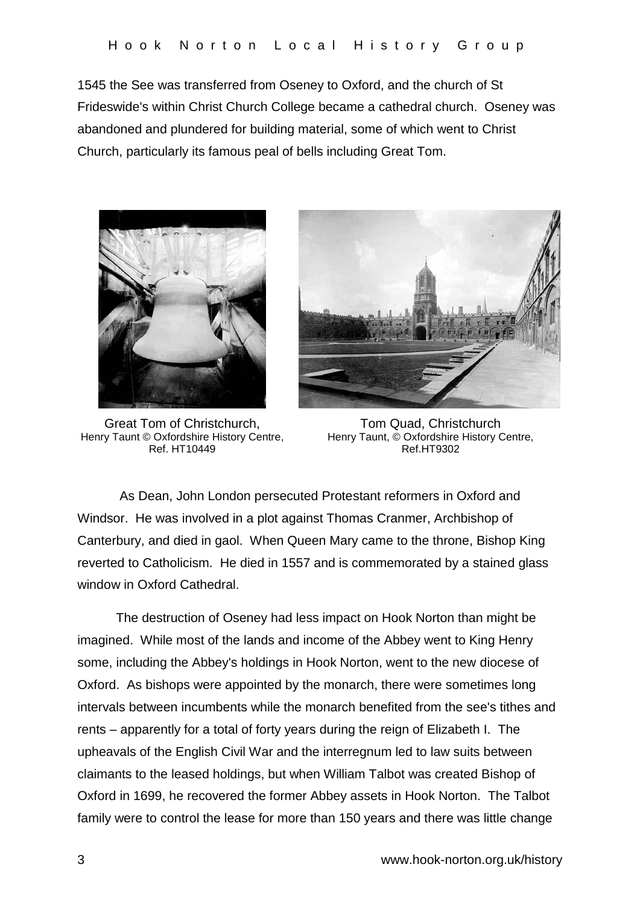1545 the See was transferred from Oseney to Oxford, and the church of St Frideswide's within Christ Church College became a cathedral church. Oseney was abandoned and plundered for building material, some of which went to Christ Church, particularly its famous peal of bells including Great Tom.



Great Tom of Christchurch, Henry Taunt © Oxfordshire History Centre, Ref. HT10449



Tom Quad, Christchurch Henry Taunt, © Oxfordshire History Centre, Ref.HT9302

As Dean, John London persecuted Protestant reformers in Oxford and Windsor. He was involved in a plot against Thomas Cranmer, Archbishop of Canterbury, and died in gaol. When Queen Mary came to the throne, Bishop King reverted to Catholicism. He died in 1557 and is commemorated by a stained glass window in Oxford Cathedral.

The destruction of Oseney had less impact on Hook Norton than might be imagined. While most of the lands and income of the Abbey went to King Henry some, including the Abbey's holdings in Hook Norton, went to the new diocese of Oxford. As bishops were appointed by the monarch, there were sometimes long intervals between incumbents while the monarch benefited from the see's tithes and rents – apparently for a total of forty years during the reign of Elizabeth I. The upheavals of the English Civil War and the interregnum led to law suits between claimants to the leased holdings, but when William Talbot was created Bishop of Oxford in 1699, he recovered the former Abbey assets in Hook Norton. The Talbot family were to control the lease for more than 150 years and there was little change